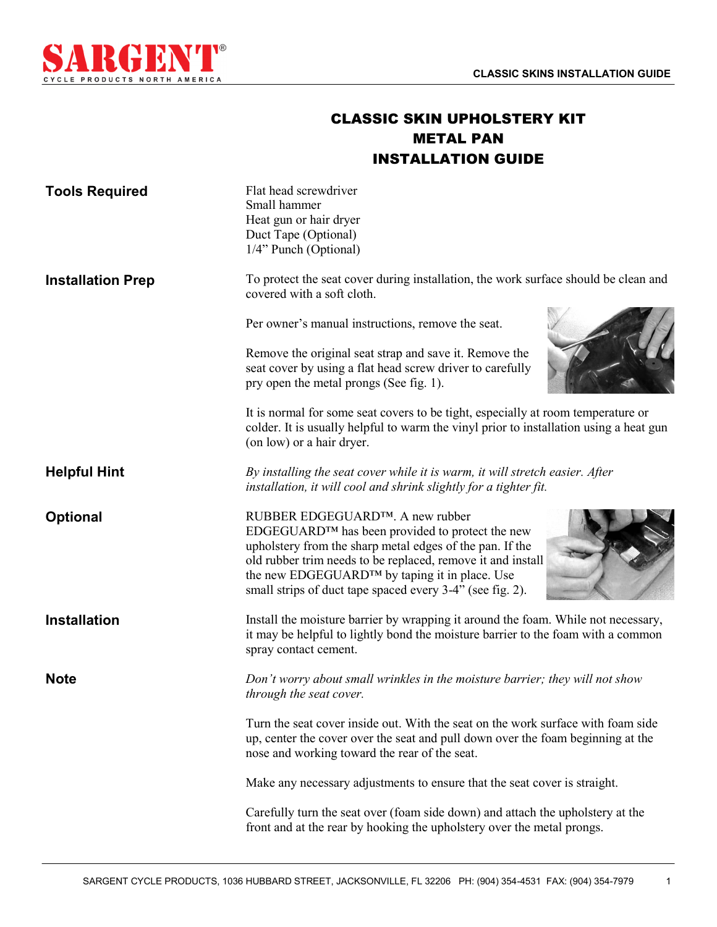1



## CLASSIC SKIN UPHOLSTERY KIT METAL PAN INSTALLATION GUIDE

| <b>Tools Required</b>    | Flat head screwdriver<br>Small hammer<br>Heat gun or hair dryer<br>Duct Tape (Optional)<br>1/4" Punch (Optional)                                                                                                                                                                                                                        |
|--------------------------|-----------------------------------------------------------------------------------------------------------------------------------------------------------------------------------------------------------------------------------------------------------------------------------------------------------------------------------------|
| <b>Installation Prep</b> | To protect the seat cover during installation, the work surface should be clean and<br>covered with a soft cloth.                                                                                                                                                                                                                       |
|                          | Per owner's manual instructions, remove the seat.                                                                                                                                                                                                                                                                                       |
|                          | Remove the original seat strap and save it. Remove the<br>seat cover by using a flat head screw driver to carefully<br>pry open the metal prongs (See fig. 1).                                                                                                                                                                          |
|                          | It is normal for some seat covers to be tight, especially at room temperature or<br>colder. It is usually helpful to warm the vinyl prior to installation using a heat gun<br>(on low) or a hair dryer.                                                                                                                                 |
| <b>Helpful Hint</b>      | By installing the seat cover while it is warm, it will stretch easier. After<br>installation, it will cool and shrink slightly for a tighter fit.                                                                                                                                                                                       |
| <b>Optional</b>          | RUBBER EDGEGUARD™. A new rubber<br>EDGEGUARD™ has been provided to protect the new<br>upholstery from the sharp metal edges of the pan. If the<br>old rubber trim needs to be replaced, remove it and install<br>the new EDGEGUARD <sup>™</sup> by taping it in place. Use<br>small strips of duct tape spaced every 3-4" (see fig. 2). |
| <b>Installation</b>      | Install the moisture barrier by wrapping it around the foam. While not necessary,<br>it may be helpful to lightly bond the moisture barrier to the foam with a common<br>spray contact cement.                                                                                                                                          |
| <b>Note</b>              | Don't worry about small wrinkles in the moisture barrier; they will not show<br>through the seat cover.                                                                                                                                                                                                                                 |
|                          | Turn the seat cover inside out. With the seat on the work surface with foam side<br>up, center the cover over the seat and pull down over the foam beginning at the<br>nose and working toward the rear of the seat.                                                                                                                    |
|                          | Make any necessary adjustments to ensure that the seat cover is straight.                                                                                                                                                                                                                                                               |
|                          | Carefully turn the seat over (foam side down) and attach the upholstery at the<br>front and at the rear by hooking the upholstery over the metal prongs.                                                                                                                                                                                |